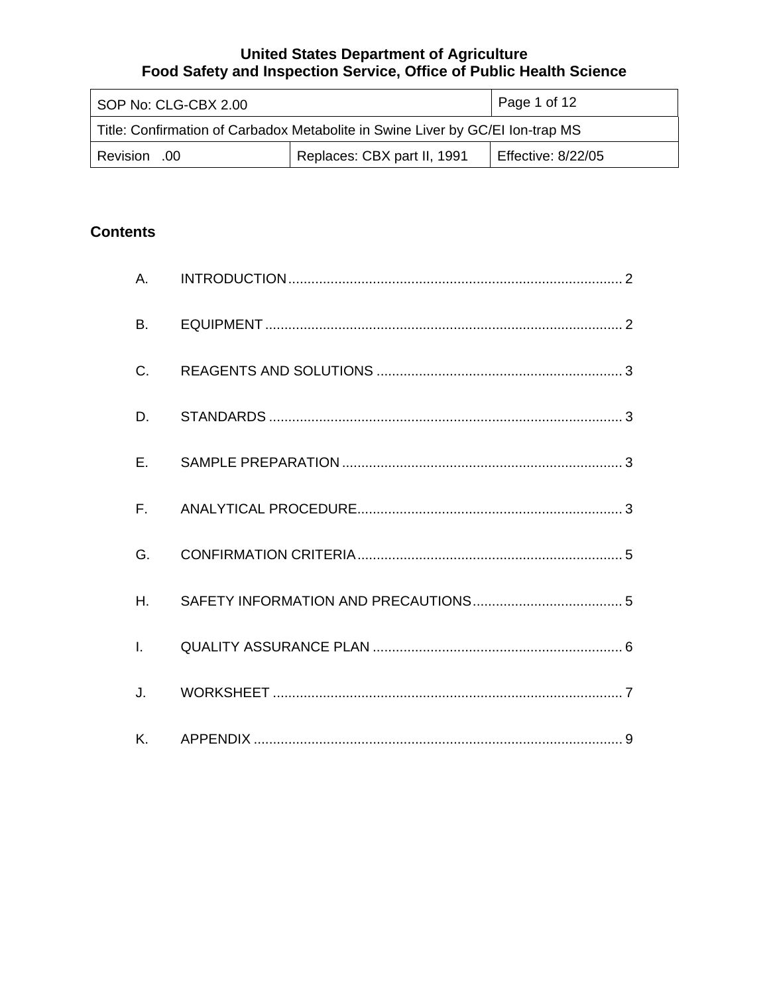| SOP No: CLG-CBX 2.00                                                           |  | Page 1 of 12 |  |
|--------------------------------------------------------------------------------|--|--------------|--|
| Title: Confirmation of Carbadox Metabolite in Swine Liver by GC/EI Ion-trap MS |  |              |  |
| Replaces: CBX part II, 1991<br><b>Effective: 8/22/05</b><br>00. Revision       |  |              |  |

# **Contents**

| <b>B.</b>      |  |
|----------------|--|
| C.             |  |
| D.             |  |
| $E_{\rm{r}}$   |  |
|                |  |
| G.             |  |
| H <sub>r</sub> |  |
| $\mathbf{L}$   |  |
| J.             |  |
|                |  |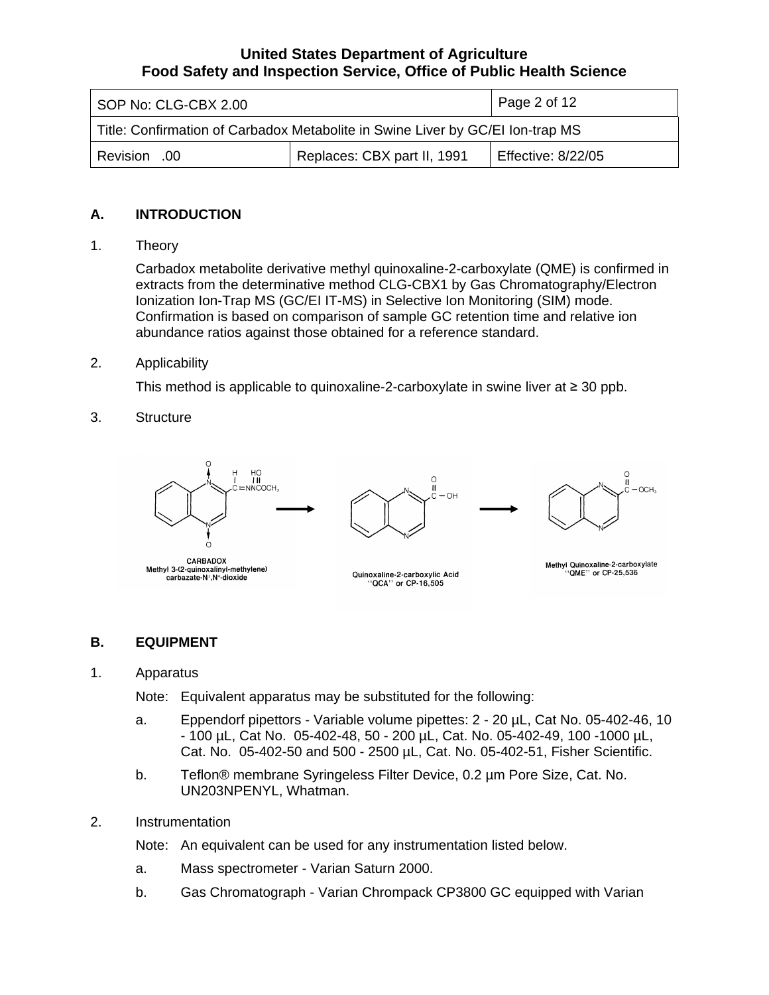<span id="page-1-0"></span>

| SOP No: CLG-CBX 2.00                                                           |  | $\vert$ Page 2 of 12 |  |
|--------------------------------------------------------------------------------|--|----------------------|--|
| Title: Confirmation of Carbadox Metabolite in Swine Liver by GC/EI Ion-trap MS |  |                      |  |
| Replaces: CBX part II, 1991<br>Effective: 8/22/05<br>Revision .00              |  |                      |  |

# **A. INTRODUCTION**

1. Theory

Carbadox metabolite derivative methyl quinoxaline-2-carboxylate (QME) is confirmed in extracts from the determinative method CLG-CBX1 by Gas Chromatography/Electron Ionization Ion-Trap MS (GC/EI IT-MS) in Selective Ion Monitoring (SIM) mode. Confirmation is based on comparison of sample GC retention time and relative ion abundance ratios against those obtained for a reference standard.

#### 2. Applicability

This method is applicable to quinoxaline-2-carboxylate in swine liver at ≥ 30 ppb.

3. Structure



### **B. EQUIPMENT**

1. Apparatus

Note: Equivalent apparatus may be substituted for the following:

- a. Eppendorf pipettors Variable volume pipettes: 2 20 µL, Cat No. 05-402-46, 10 - 100 µL, Cat No. 05-402-48, 50 - 200 µL, Cat. No. 05-402-49, 100 -1000 µL, Cat. No. 05-402-50 and 500 - 2500 µL, Cat. No. 05-402-51, Fisher Scientific.
- b. Teflon® membrane Syringeless Filter Device, 0.2 µm Pore Size, Cat. No. UN203NPENYL, Whatman.
- 2. Instrumentation

Note: An equivalent can be used for any instrumentation listed below.

- a. Mass spectrometer Varian Saturn 2000.
- b. Gas Chromatograph Varian Chrompack CP3800 GC equipped with Varian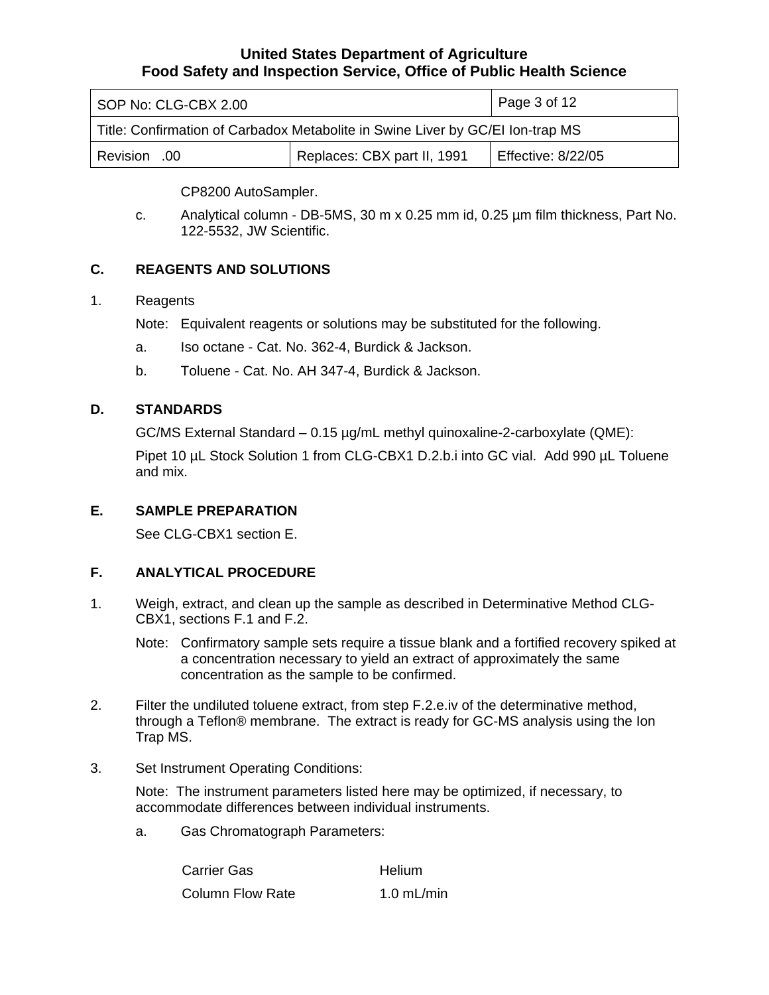<span id="page-2-0"></span>

| SOP No: CLG-CBX 2.00                                                           |  | Page 3 of 12 |  |
|--------------------------------------------------------------------------------|--|--------------|--|
| Title: Confirmation of Carbadox Metabolite in Swine Liver by GC/EI Ion-trap MS |  |              |  |
| Replaces: CBX part II, 1991<br>Effective: 8/22/05<br>Revision .00              |  |              |  |

CP8200 AutoSampler.

c. Analytical column - DB-5MS, 30 m x 0.25 mm id, 0.25 µm film thickness, Part No. 122-5532, JW Scientific.

# **C. REAGENTS AND SOLUTIONS**

### 1. Reagents

Note: Equivalent reagents or solutions may be substituted for the following.

- a. Iso octane Cat. No. 362-4, Burdick & Jackson.
- b. Toluene Cat. No. AH 347-4, Burdick & Jackson.

# **D. STANDARDS**

GC/MS External Standard – 0.15 µg/mL methyl quinoxaline-2-carboxylate (QME):

Pipet 10 µL Stock Solution 1 from CLG-CBX1 D.2.b.i into GC vial. Add 990 µL Toluene and mix.

# **E. SAMPLE PREPARATION**

See CLG-CBX1 section E.

# **F. ANALYTICAL PROCEDURE**

- 1. Weigh, extract, and clean up the sample as described in Determinative Method CLG-CBX1, sections F.1 and F.2.
	- Note: Confirmatory sample sets require a tissue blank and a fortified recovery spiked at a concentration necessary to yield an extract of approximately the same concentration as the sample to be confirmed.
- 2. Filter the undiluted toluene extract, from step F.2.e.iv of the determinative method, through a Teflon® membrane. The extract is ready for GC-MS analysis using the Ion Trap MS.
- 3. Set Instrument Operating Conditions:

Note: The instrument parameters listed here may be optimized, if necessary, to accommodate differences between individual instruments.

a. Gas Chromatograph Parameters:

| <b>Carrier Gas</b>      | <b>Helium</b> |
|-------------------------|---------------|
| <b>Column Flow Rate</b> | $1.0$ mL/min  |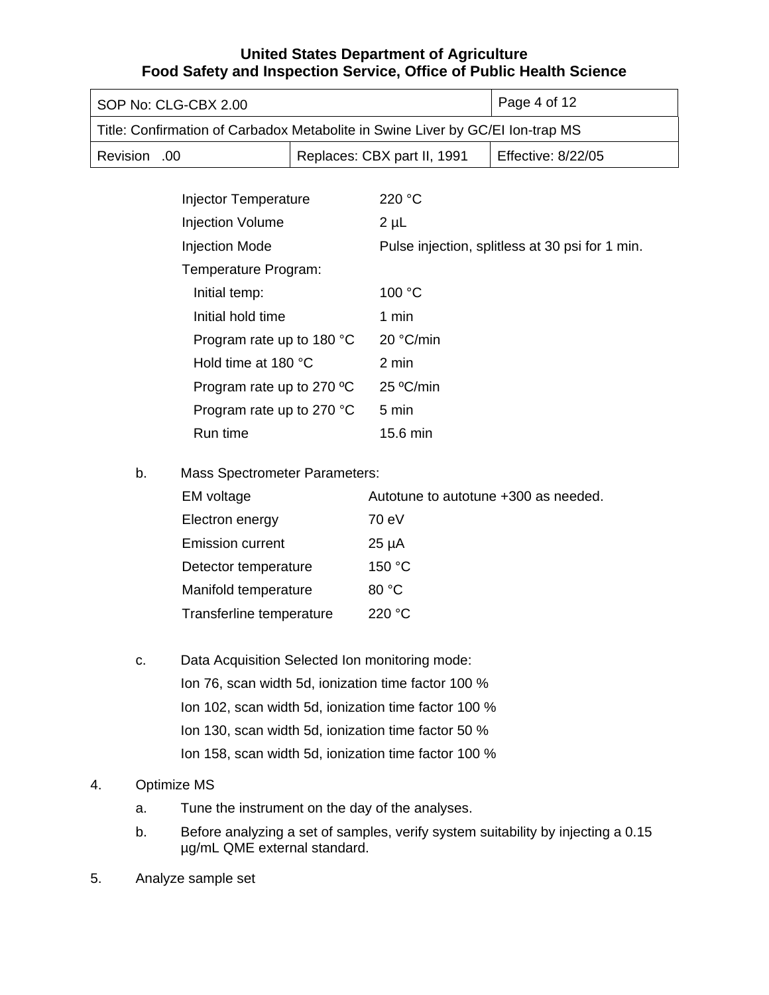| SOP No: CLG-CBX 2.00                                                           |  | Page 4 of 12 |  |
|--------------------------------------------------------------------------------|--|--------------|--|
| Title: Confirmation of Carbadox Metabolite in Swine Liver by GC/EI Ion-trap MS |  |              |  |
| Replaces: CBX part II, 1991<br><b>Effective: 8/22/05</b><br>Revision .00       |  |              |  |

| Injector Temperature      | 220 °C                                          |
|---------------------------|-------------------------------------------------|
| <b>Injection Volume</b>   | $2 \mu L$                                       |
| <b>Injection Mode</b>     | Pulse injection, splitless at 30 psi for 1 min. |
| Temperature Program:      |                                                 |
| Initial temp:             | 100 $\degree$ C                                 |
| Initial hold time         | 1 min                                           |
| Program rate up to 180 °C | 20 °C/min                                       |
| Hold time at 180 °C       | 2 min                                           |
| Program rate up to 270 °C | $25 \degree C$ /min                             |
| Program rate up to 270 °C | $5 \text{ min}$                                 |
| Run time                  | 15.6 min                                        |

b. Mass Spectrometer Parameters:

| EM voltage               | Autotune to autotune +300 as needed. |
|--------------------------|--------------------------------------|
| Electron energy          | 70 eV                                |
| <b>Emission current</b>  | $25 \mu A$                           |
| Detector temperature     | 150 °C                               |
| Manifold temperature     | 80 °C                                |
| Transferline temperature | 220 $\degree$ C                      |

c. Data Acquisition Selected Ion monitoring mode: Ion 76, scan width 5d, ionization time factor 100 % Ion 102, scan width 5d, ionization time factor 100 % Ion 130, scan width 5d, ionization time factor 50 % Ion 158, scan width 5d, ionization time factor 100 %

# 4. Optimize MS

- a. Tune the instrument on the day of the analyses.
- b. Before analyzing a set of samples, verify system suitability by injecting a 0.15 µg/mL QME external standard.
- 5. Analyze sample set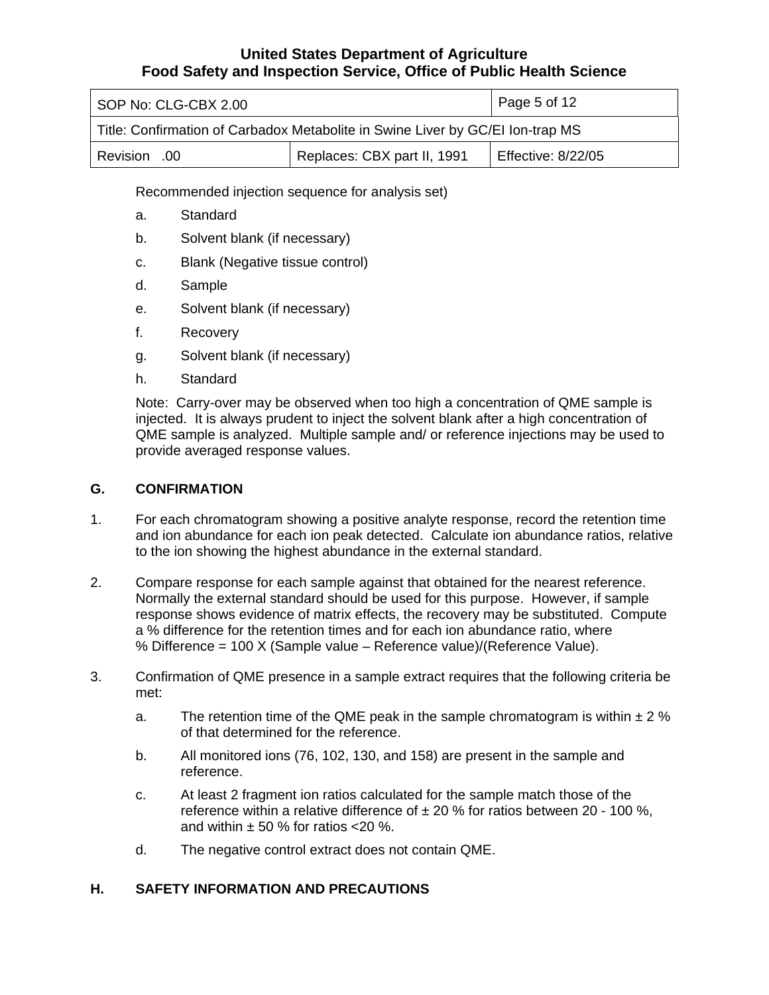<span id="page-4-0"></span>

| SOP No: CLG-CBX 2.00                                                           |  | Page 5 of 12 |  |
|--------------------------------------------------------------------------------|--|--------------|--|
| Title: Confirmation of Carbadox Metabolite in Swine Liver by GC/EI Ion-trap MS |  |              |  |
| Replaces: CBX part II, 1991<br><b>Effective: 8/22/05</b><br>Revision .00       |  |              |  |

Recommended injection sequence for analysis set)

- a. Standard
- b. Solvent blank (if necessary)
- c. Blank (Negative tissue control)
- d. Sample
- e. Solvent blank (if necessary)
- f. Recovery
- g. Solvent blank (if necessary)
- h. Standard

Note: Carry-over may be observed when too high a concentration of QME sample is injected. It is always prudent to inject the solvent blank after a high concentration of QME sample is analyzed. Multiple sample and/ or reference injections may be used to provide averaged response values.

#### **G. CONFIRMATION**

- 1. For each chromatogram showing a positive analyte response, record the retention time and ion abundance for each ion peak detected. Calculate ion abundance ratios, relative to the ion showing the highest abundance in the external standard.
- 2. Compare response for each sample against that obtained for the nearest reference. Normally the external standard should be used for this purpose. However, if sample response shows evidence of matrix effects, the recovery may be substituted. Compute a % difference for the retention times and for each ion abundance ratio, where % Difference = 100 X (Sample value – Reference value)/(Reference Value).
- 3. Confirmation of QME presence in a sample extract requires that the following criteria be met:
	- a. The retention time of the QME peak in the sample chromatogram is within  $\pm 2\%$ of that determined for the reference.
	- b. All monitored ions (76, 102, 130, and 158) are present in the sample and reference.
	- c. At least 2 fragment ion ratios calculated for the sample match those of the reference within a relative difference of  $\pm 20$  % for ratios between 20 - 100 %, and within  $\pm$  50 % for ratios <20 %.
	- d. The negative control extract does not contain QME.

### **H. SAFETY INFORMATION AND PRECAUTIONS**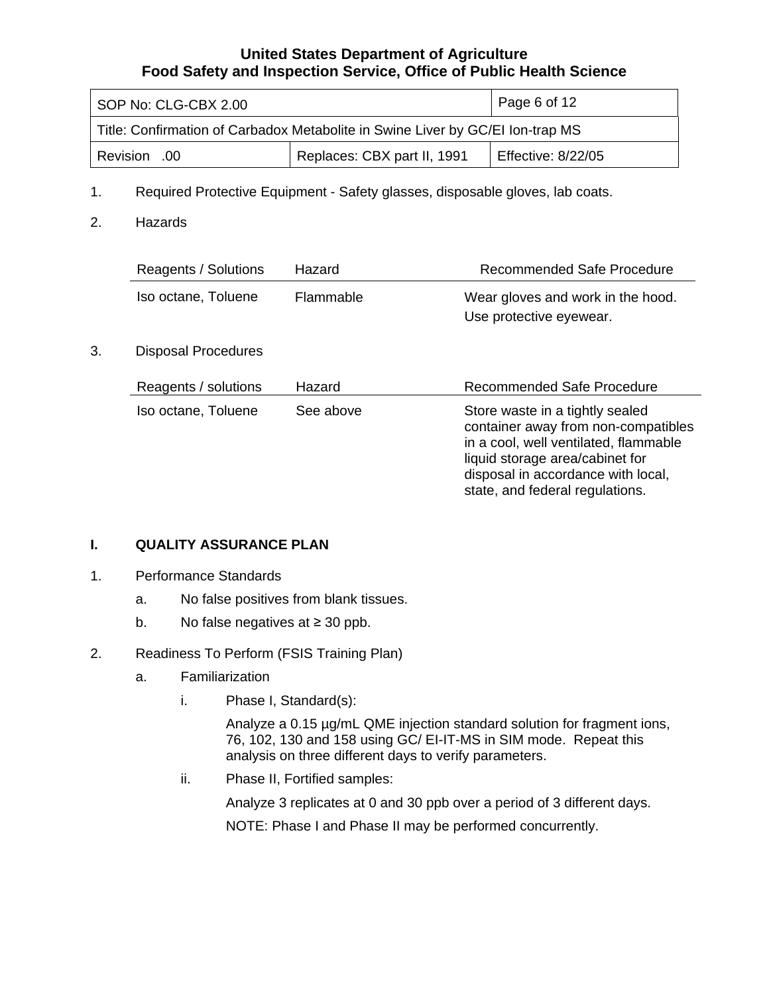<span id="page-5-0"></span>

| SOP No: CLG-CBX 2.00                                                           |  | Page 6 of 12 |  |
|--------------------------------------------------------------------------------|--|--------------|--|
| Title: Confirmation of Carbadox Metabolite in Swine Liver by GC/EI Ion-trap MS |  |              |  |
| Replaces: CBX part II, 1991<br>Effective: 8/22/05<br>Revision .00              |  |              |  |

- 1. Required Protective Equipment Safety glasses, disposable gloves, lab coats.
- 2. Hazards

|    | Reagents / Solutions       | Hazard           | Recommended Safe Procedure                                                                                                                                                                                                  |
|----|----------------------------|------------------|-----------------------------------------------------------------------------------------------------------------------------------------------------------------------------------------------------------------------------|
|    | Iso octane, Toluene        | <b>Flammable</b> | Wear gloves and work in the hood.<br>Use protective eyewear.                                                                                                                                                                |
| 3. | <b>Disposal Procedures</b> |                  |                                                                                                                                                                                                                             |
|    | Reagents / solutions       | Hazard           | <b>Recommended Safe Procedure</b>                                                                                                                                                                                           |
|    | Iso octane, Toluene        | See above        | Store waste in a tightly sealed<br>container away from non-compatibles<br>in a cool, well ventilated, flammable<br>liquid storage area/cabinet for<br>disposal in accordance with local,<br>state, and federal regulations. |

### **I. QUALITY ASSURANCE PLAN**

- 1. Performance Standards
	- a. No false positives from blank tissues.
	- b. No false negatives at ≥ 30 ppb.

# 2. Readiness To Perform (FSIS Training Plan)

- a. Familiarization
	- i. Phase I, Standard(s):

Analyze a 0.15 µg/mL QME injection standard solution for fragment ions, 76, 102, 130 and 158 using GC/ EI-IT-MS in SIM mode. Repeat this analysis on three different days to verify parameters.

ii. Phase II, Fortified samples:

Analyze 3 replicates at 0 and 30 ppb over a period of 3 different days.

NOTE: Phase I and Phase II may be performed concurrently.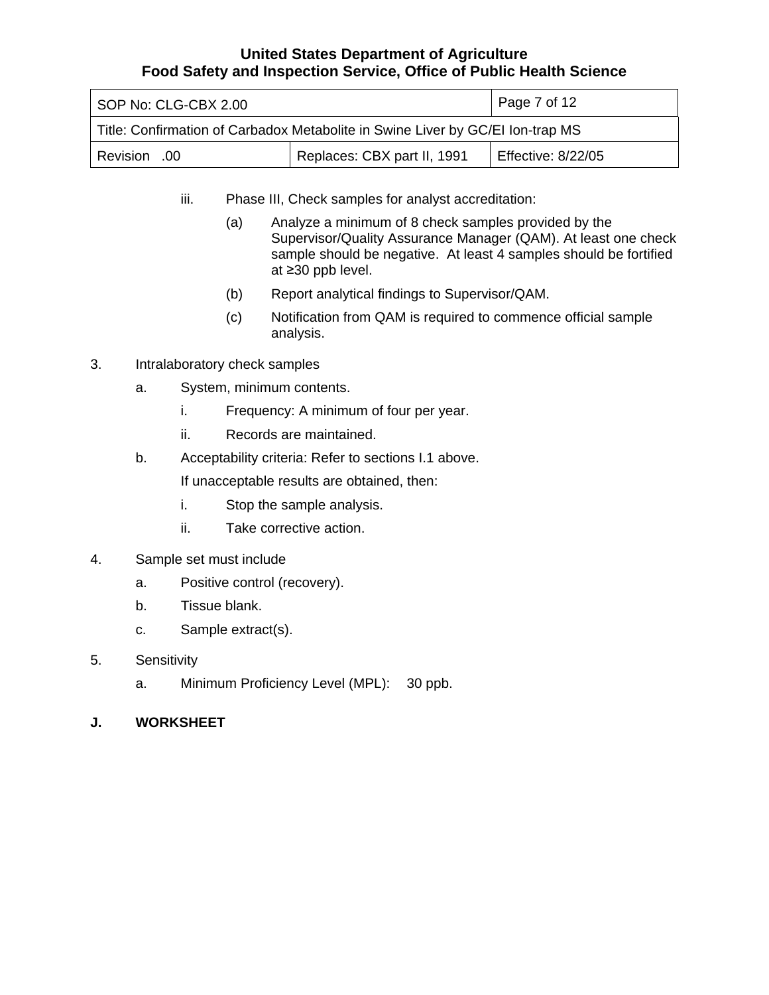<span id="page-6-0"></span>

| SOP No: CLG-CBX 2.00                                                           |  | Page 7 of 12 |  |
|--------------------------------------------------------------------------------|--|--------------|--|
| Title: Confirmation of Carbadox Metabolite in Swine Liver by GC/EI Ion-trap MS |  |              |  |
| Replaces: CBX part II, 1991<br><b>Effective: 8/22/05</b><br>00. Revision       |  |              |  |

- iii. Phase III, Check samples for analyst accreditation:
	- (a) Analyze a minimum of 8 check samples provided by the Supervisor/Quality Assurance Manager (QAM). At least one check sample should be negative. At least 4 samples should be fortified at ≥30 ppb level.
	- (b) Report analytical findings to Supervisor/QAM.
	- (c) Notification from QAM is required to commence official sample analysis.
- 3. Intralaboratory check samples
	- a. System, minimum contents.
		- i. Frequency: A minimum of four per year.
		- ii. Records are maintained.
	- b. Acceptability criteria: Refer to sections I.1 above.

If unacceptable results are obtained, then:

- i. Stop the sample analysis.
- ii. Take corrective action.
- 4. Sample set must include
	- a. Positive control (recovery).
	- b. Tissue blank.
	- c. Sample extract(s).
- 5. Sensitivity
	- a. Minimum Proficiency Level (MPL): 30 ppb.
- **J. WORKSHEET**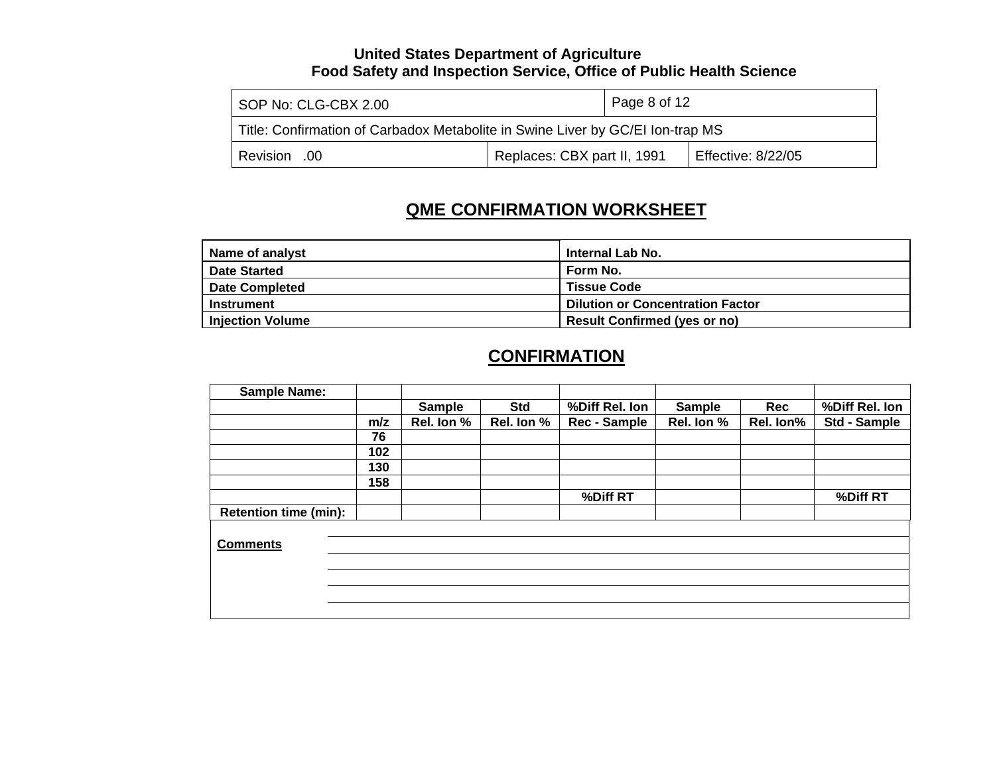| SOP No: CLG-CBX 2.00                                                           | Page 8 of 12                |  |                    |
|--------------------------------------------------------------------------------|-----------------------------|--|--------------------|
| Title: Confirmation of Carbadox Metabolite in Swine Liver by GC/EI Ion-trap MS |                             |  |                    |
| Revision .00                                                                   | Replaces: CBX part II, 1991 |  | Effective: 8/22/05 |

# **QME CONFIRMATION WORKSHEET**

| Name of analyst         | <b>Internal Lab No.</b>                 |
|-------------------------|-----------------------------------------|
| <b>Date Started</b>     | Form No.                                |
| <b>Date Completed</b>   | <b>Tissue Code</b>                      |
| <b>Instrument</b>       | <b>Dilution or Concentration Factor</b> |
| <b>Injection Volume</b> | <b>Result Confirmed (yes or no)</b>     |

# **CONFIRMATION**

| <b>Sample Name:</b>          |     |               |            |                |               |            |                     |
|------------------------------|-----|---------------|------------|----------------|---------------|------------|---------------------|
|                              |     | <b>Sample</b> | <b>Std</b> | %Diff Rel. Ion | <b>Sample</b> | <b>Rec</b> | %Diff Rel. Ion      |
|                              | m/z | Rel. Ion %    | Rel. Ion % | Rec - Sample   | Rel. Ion %    | Rel. Ion%  | <b>Std - Sample</b> |
|                              | 76  |               |            |                |               |            |                     |
|                              | 102 |               |            |                |               |            |                     |
|                              | 130 |               |            |                |               |            |                     |
|                              | 158 |               |            |                |               |            |                     |
|                              |     |               |            | %Diff RT       |               |            | %Diff RT            |
| <b>Retention time (min):</b> |     |               |            |                |               |            |                     |
|                              |     |               |            |                |               |            |                     |
| <b>Comments</b>              |     |               |            |                |               |            |                     |
|                              |     |               |            |                |               |            |                     |
|                              |     |               |            |                |               |            |                     |
|                              |     |               |            |                |               |            |                     |
|                              |     |               |            |                |               |            |                     |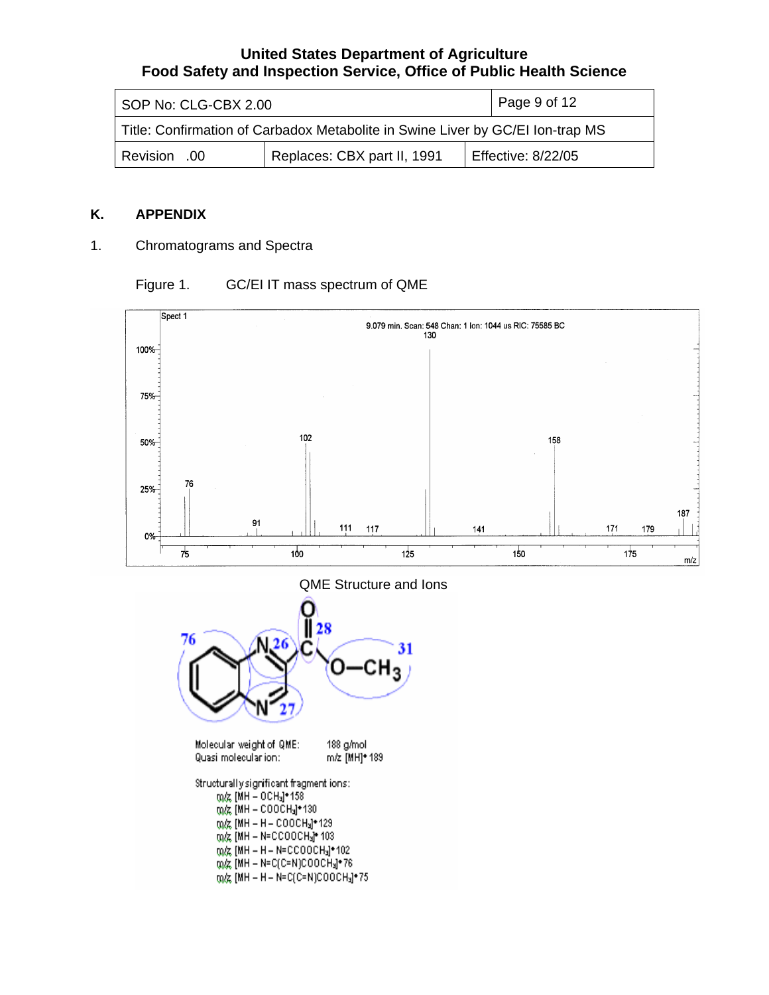<span id="page-8-0"></span>

| SOP No: CLG-CBX 2.00                                                           | Page 9 of 12                |                           |  |
|--------------------------------------------------------------------------------|-----------------------------|---------------------------|--|
| Title: Confirmation of Carbadox Metabolite in Swine Liver by GC/EI Ion-trap MS |                             |                           |  |
| Revision .00                                                                   | Replaces: CBX part II, 1991 | <b>Effective: 8/22/05</b> |  |

#### **K. APPENDIX**

1. Chromatograms and Spectra

# Figure 1. GC/EI IT mass spectrum of QME







Structurally significant fragment ions: m/z [MH - OCH3]\*158  $0.02 \text{ (MH - COOCH}_3\text{+130)}$ m/z<br>
[MH - H - COOCH<sub>3</sub>]\*129<br>
m/z [MH - N=CCOOCH<sub>3</sub>]\*103 (0) (KH - H - N=CCOOCH3] \* 102 m/z [MH - N=C(C=N)COOCH3]\*76 m/z [MH - H - N=C(C=N)COOCH3]\*75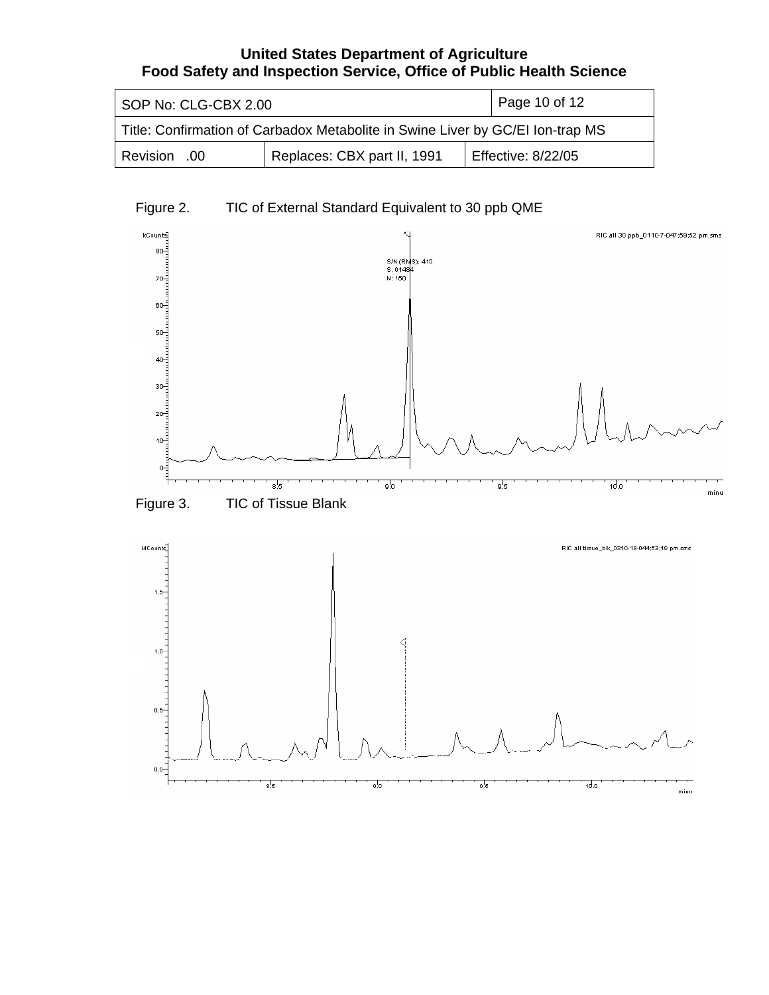| SOP No: CLG-CBX 2.00                                                           | Page 10 of 12               |                    |  |
|--------------------------------------------------------------------------------|-----------------------------|--------------------|--|
| Title: Confirmation of Carbadox Metabolite in Swine Liver by GC/EI Ion-trap MS |                             |                    |  |
| Revision .00                                                                   | Replaces: CBX part II, 1991 | Effective: 8/22/05 |  |

# Figure 2. TIC of External Standard Equivalent to 30 ppb QME

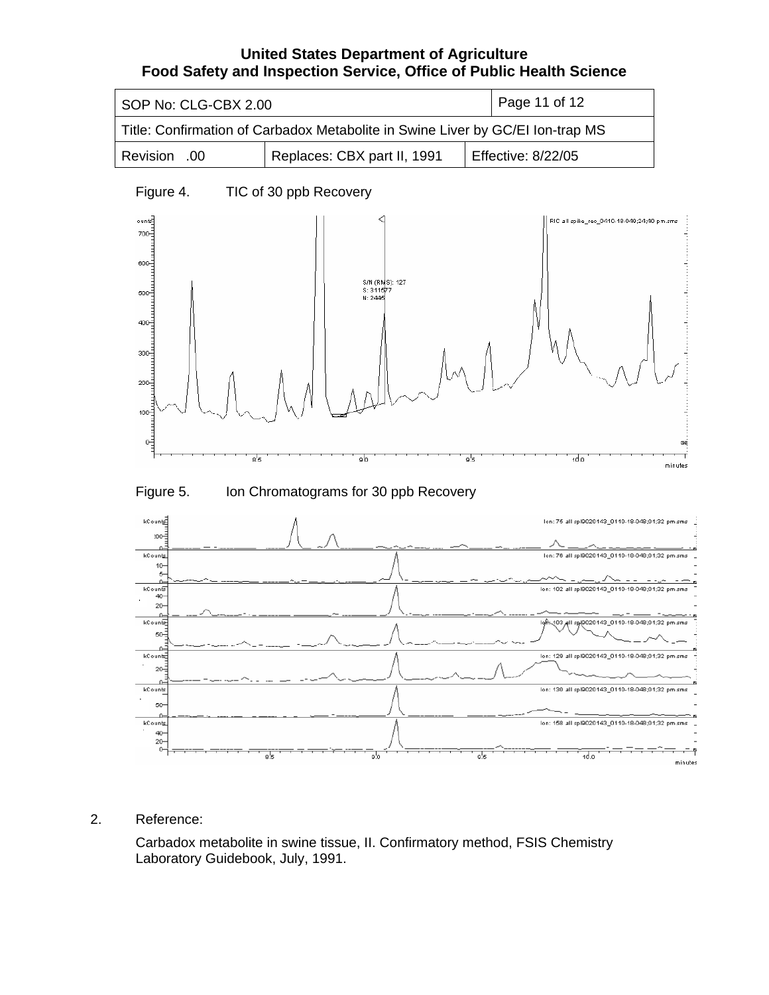| SOP No: CLG-CBX 2.00                                                           | Page 11 of 12               |                    |  |
|--------------------------------------------------------------------------------|-----------------------------|--------------------|--|
| Title: Confirmation of Carbadox Metabolite in Swine Liver by GC/EI Ion-trap MS |                             |                    |  |
| Revision .00                                                                   | Replaces: CBX part II, 1991 | Effective: 8/22/05 |  |

# Figure 4. TIC of 30 ppb Recovery



Figure 5. Ion Chromatograms for 30 ppb Recovery



## 2. Reference:

Carbadox metabolite in swine tissue, II. Confirmatory method, FSIS Chemistry Laboratory Guidebook, July, 1991.